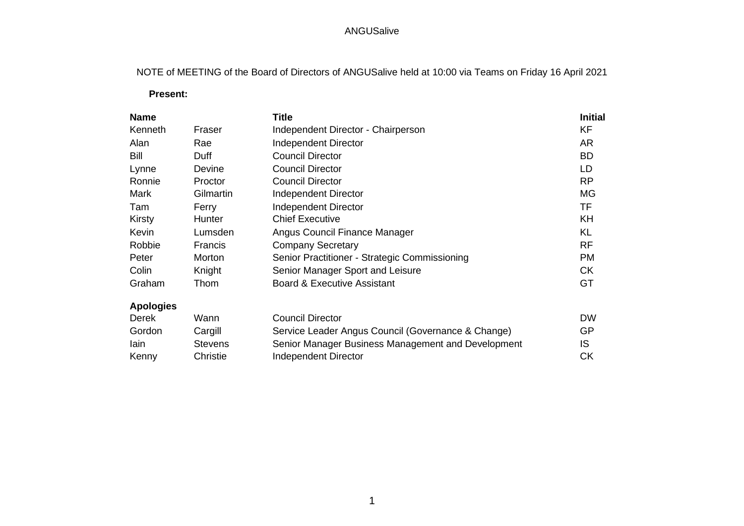NOTE of MEETING of the Board of Directors of ANGUSalive held at 10:00 via Teams on Friday 16 April 2021

 **Present:**

|                | <b>Title</b>                                       | <b>Initial</b> |
|----------------|----------------------------------------------------|----------------|
| Fraser         | Independent Director - Chairperson                 | KF             |
| Rae            | <b>Independent Director</b>                        | <b>AR</b>      |
| Duff           | <b>Council Director</b>                            | <b>BD</b>      |
| Devine         | <b>Council Director</b>                            | LD             |
| Proctor        | <b>Council Director</b>                            | <b>RP</b>      |
| Gilmartin      | <b>Independent Director</b>                        | <b>MG</b>      |
| Ferry          | <b>Independent Director</b>                        | <b>TF</b>      |
| <b>Hunter</b>  | <b>Chief Executive</b>                             | <b>KH</b>      |
| Lumsden        | Angus Council Finance Manager                      | KL             |
| Francis        | <b>Company Secretary</b>                           | <b>RF</b>      |
| Morton         | Senior Practitioner - Strategic Commissioning      | <b>PM</b>      |
| Knight         | Senior Manager Sport and Leisure                   | <b>CK</b>      |
| Thom           | <b>Board &amp; Executive Assistant</b>             | GT             |
|                |                                                    |                |
| Wann           | <b>Council Director</b>                            | <b>DW</b>      |
| Cargill        | Service Leader Angus Council (Governance & Change) | <b>GP</b>      |
| <b>Stevens</b> | Senior Manager Business Management and Development | IS             |
| Christie       | <b>Independent Director</b>                        | <b>CK</b>      |
|                |                                                    |                |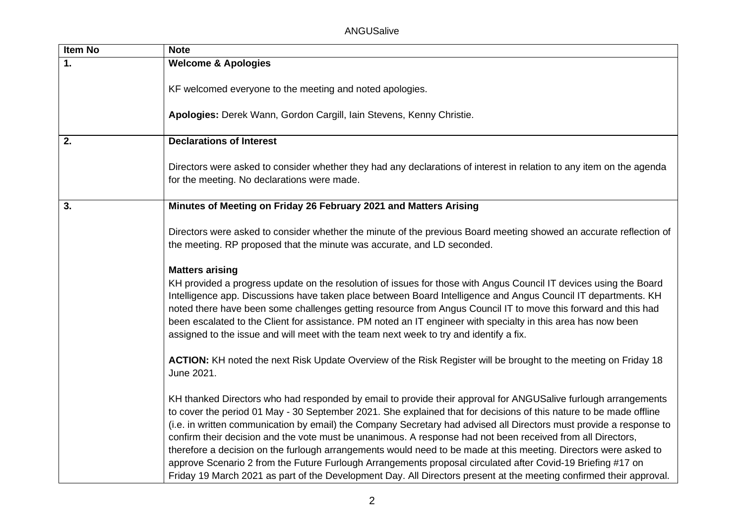| <b>Item No</b> | <b>Note</b>                                                                                                                                                                                                                                                                                                                                                                                                                                                                                                                                                                                                                                                                                                                                                                                                                          |
|----------------|--------------------------------------------------------------------------------------------------------------------------------------------------------------------------------------------------------------------------------------------------------------------------------------------------------------------------------------------------------------------------------------------------------------------------------------------------------------------------------------------------------------------------------------------------------------------------------------------------------------------------------------------------------------------------------------------------------------------------------------------------------------------------------------------------------------------------------------|
| 1.             | <b>Welcome &amp; Apologies</b>                                                                                                                                                                                                                                                                                                                                                                                                                                                                                                                                                                                                                                                                                                                                                                                                       |
|                | KF welcomed everyone to the meeting and noted apologies.                                                                                                                                                                                                                                                                                                                                                                                                                                                                                                                                                                                                                                                                                                                                                                             |
|                | Apologies: Derek Wann, Gordon Cargill, Iain Stevens, Kenny Christie.                                                                                                                                                                                                                                                                                                                                                                                                                                                                                                                                                                                                                                                                                                                                                                 |
| 2.             | <b>Declarations of Interest</b>                                                                                                                                                                                                                                                                                                                                                                                                                                                                                                                                                                                                                                                                                                                                                                                                      |
|                | Directors were asked to consider whether they had any declarations of interest in relation to any item on the agenda<br>for the meeting. No declarations were made.                                                                                                                                                                                                                                                                                                                                                                                                                                                                                                                                                                                                                                                                  |
| 3.             | Minutes of Meeting on Friday 26 February 2021 and Matters Arising                                                                                                                                                                                                                                                                                                                                                                                                                                                                                                                                                                                                                                                                                                                                                                    |
|                | Directors were asked to consider whether the minute of the previous Board meeting showed an accurate reflection of<br>the meeting. RP proposed that the minute was accurate, and LD seconded.                                                                                                                                                                                                                                                                                                                                                                                                                                                                                                                                                                                                                                        |
|                | <b>Matters arising</b><br>KH provided a progress update on the resolution of issues for those with Angus Council IT devices using the Board<br>Intelligence app. Discussions have taken place between Board Intelligence and Angus Council IT departments. KH<br>noted there have been some challenges getting resource from Angus Council IT to move this forward and this had<br>been escalated to the Client for assistance. PM noted an IT engineer with specialty in this area has now been<br>assigned to the issue and will meet with the team next week to try and identify a fix.                                                                                                                                                                                                                                           |
|                | ACTION: KH noted the next Risk Update Overview of the Risk Register will be brought to the meeting on Friday 18<br>June 2021.                                                                                                                                                                                                                                                                                                                                                                                                                                                                                                                                                                                                                                                                                                        |
|                | KH thanked Directors who had responded by email to provide their approval for ANGUSalive furlough arrangements<br>to cover the period 01 May - 30 September 2021. She explained that for decisions of this nature to be made offline<br>(i.e. in written communication by email) the Company Secretary had advised all Directors must provide a response to<br>confirm their decision and the vote must be unanimous. A response had not been received from all Directors,<br>therefore a decision on the furlough arrangements would need to be made at this meeting. Directors were asked to<br>approve Scenario 2 from the Future Furlough Arrangements proposal circulated after Covid-19 Briefing #17 on<br>Friday 19 March 2021 as part of the Development Day. All Directors present at the meeting confirmed their approval. |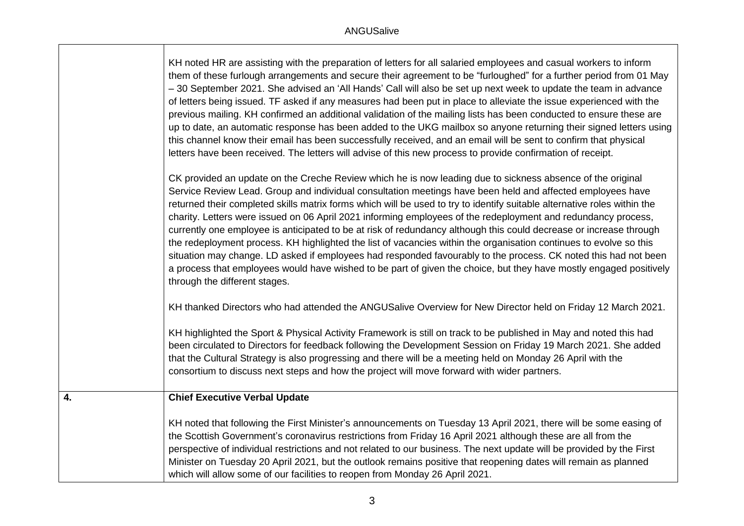|    | KH noted HR are assisting with the preparation of letters for all salaried employees and casual workers to inform<br>them of these furlough arrangements and secure their agreement to be "furloughed" for a further period from 01 May<br>-30 September 2021. She advised an 'All Hands' Call will also be set up next week to update the team in advance<br>of letters being issued. TF asked if any measures had been put in place to alleviate the issue experienced with the<br>previous mailing. KH confirmed an additional validation of the mailing lists has been conducted to ensure these are<br>up to date, an automatic response has been added to the UKG mailbox so anyone returning their signed letters using<br>this channel know their email has been successfully received, and an email will be sent to confirm that physical<br>letters have been received. The letters will advise of this new process to provide confirmation of receipt.<br>CK provided an update on the Creche Review which he is now leading due to sickness absence of the original<br>Service Review Lead. Group and individual consultation meetings have been held and affected employees have<br>returned their completed skills matrix forms which will be used to try to identify suitable alternative roles within the<br>charity. Letters were issued on 06 April 2021 informing employees of the redeployment and redundancy process,<br>currently one employee is anticipated to be at risk of redundancy although this could decrease or increase through<br>the redeployment process. KH highlighted the list of vacancies within the organisation continues to evolve so this<br>situation may change. LD asked if employees had responded favourably to the process. CK noted this had not been<br>a process that employees would have wished to be part of given the choice, but they have mostly engaged positively<br>through the different stages.<br>KH thanked Directors who had attended the ANGUSalive Overview for New Director held on Friday 12 March 2021. |
|----|----------------------------------------------------------------------------------------------------------------------------------------------------------------------------------------------------------------------------------------------------------------------------------------------------------------------------------------------------------------------------------------------------------------------------------------------------------------------------------------------------------------------------------------------------------------------------------------------------------------------------------------------------------------------------------------------------------------------------------------------------------------------------------------------------------------------------------------------------------------------------------------------------------------------------------------------------------------------------------------------------------------------------------------------------------------------------------------------------------------------------------------------------------------------------------------------------------------------------------------------------------------------------------------------------------------------------------------------------------------------------------------------------------------------------------------------------------------------------------------------------------------------------------------------------------------------------------------------------------------------------------------------------------------------------------------------------------------------------------------------------------------------------------------------------------------------------------------------------------------------------------------------------------------------------------------------------------------------------------------------------------------------------------------------------------------------------------|
|    | KH highlighted the Sport & Physical Activity Framework is still on track to be published in May and noted this had<br>been circulated to Directors for feedback following the Development Session on Friday 19 March 2021. She added<br>that the Cultural Strategy is also progressing and there will be a meeting held on Monday 26 April with the<br>consortium to discuss next steps and how the project will move forward with wider partners.                                                                                                                                                                                                                                                                                                                                                                                                                                                                                                                                                                                                                                                                                                                                                                                                                                                                                                                                                                                                                                                                                                                                                                                                                                                                                                                                                                                                                                                                                                                                                                                                                               |
| 4. | <b>Chief Executive Verbal Update</b><br>KH noted that following the First Minister's announcements on Tuesday 13 April 2021, there will be some easing of<br>the Scottish Government's coronavirus restrictions from Friday 16 April 2021 although these are all from the<br>perspective of individual restrictions and not related to our business. The next update will be provided by the First<br>Minister on Tuesday 20 April 2021, but the outlook remains positive that reopening dates will remain as planned<br>which will allow some of our facilities to reopen from Monday 26 April 2021.                                                                                                                                                                                                                                                                                                                                                                                                                                                                                                                                                                                                                                                                                                                                                                                                                                                                                                                                                                                                                                                                                                                                                                                                                                                                                                                                                                                                                                                                            |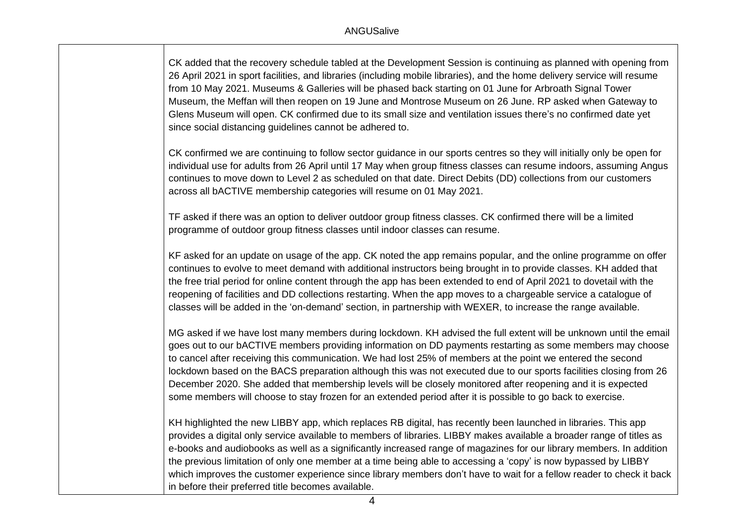CK added that the recovery schedule tabled at the Development Session is continuing as planned with opening from 26 April 2021 in sport facilities, and libraries (including mobile libraries), and the home delivery service will resume from 10 May 2021. Museums & Galleries will be phased back starting on 01 June for Arbroath Signal Tower Museum, the Meffan will then reopen on 19 June and Montrose Museum on 26 June. RP asked when Gateway to Glens Museum will open. CK confirmed due to its small size and ventilation issues there's no confirmed date yet since social distancing guidelines cannot be adhered to.

CK confirmed we are continuing to follow sector guidance in our sports centres so they will initially only be open for individual use for adults from 26 April until 17 May when group fitness classes can resume indoors, assuming Angus continues to move down to Level 2 as scheduled on that date. Direct Debits (DD) collections from our customers across all bACTIVE membership categories will resume on 01 May 2021.

TF asked if there was an option to deliver outdoor group fitness classes. CK confirmed there will be a limited programme of outdoor group fitness classes until indoor classes can resume.

KF asked for an update on usage of the app. CK noted the app remains popular, and the online programme on offer continues to evolve to meet demand with additional instructors being brought in to provide classes. KH added that the free trial period for online content through the app has been extended to end of April 2021 to dovetail with the reopening of facilities and DD collections restarting. When the app moves to a chargeable service a catalogue of classes will be added in the 'on-demand' section, in partnership with WEXER, to increase the range available.

MG asked if we have lost many members during lockdown. KH advised the full extent will be unknown until the email goes out to our bACTIVE members providing information on DD payments restarting as some members may choose to cancel after receiving this communication. We had lost 25% of members at the point we entered the second lockdown based on the BACS preparation although this was not executed due to our sports facilities closing from 26 December 2020. She added that membership levels will be closely monitored after reopening and it is expected some members will choose to stay frozen for an extended period after it is possible to go back to exercise.

KH highlighted the new LIBBY app, which replaces RB digital, has recently been launched in libraries. This app provides a digital only service available to members of libraries. LIBBY makes available a broader range of titles as e-books and audiobooks as well as a significantly increased range of magazines for our library members. In addition the previous limitation of only one member at a time being able to accessing a 'copy' is now bypassed by LIBBY which improves the customer experience since library members don't have to wait for a fellow reader to check it back in before their preferred title becomes available.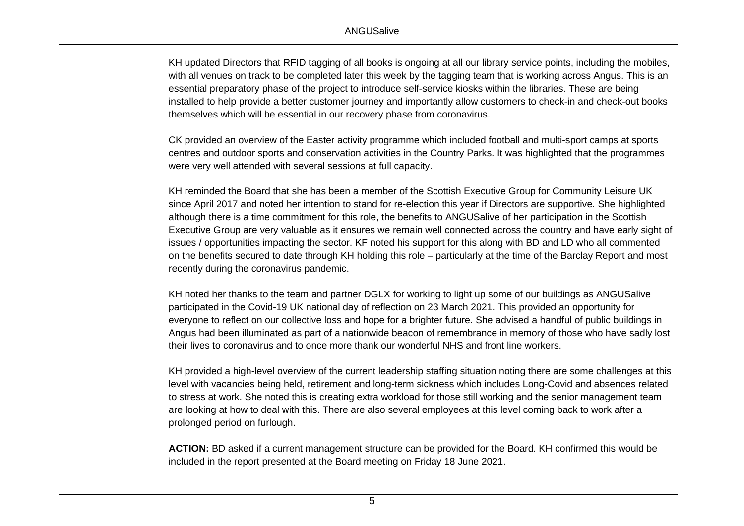KH updated Directors that RFID tagging of all books is ongoing at all our library service points, including the mobiles, with all venues on track to be completed later this week by the tagging team that is working across Angus. This is an essential preparatory phase of the project to introduce self-service kiosks within the libraries. These are being installed to help provide a better customer journey and importantly allow customers to check-in and check-out books themselves which will be essential in our recovery phase from coronavirus.

CK provided an overview of the Easter activity programme which included football and multi-sport camps at sports centres and outdoor sports and conservation activities in the Country Parks. It was highlighted that the programmes were very well attended with several sessions at full capacity.

KH reminded the Board that she has been a member of the Scottish Executive Group for Community Leisure UK since April 2017 and noted her intention to stand for re-election this year if Directors are supportive. She highlighted although there is a time commitment for this role, the benefits to ANGUSalive of her participation in the Scottish Executive Group are very valuable as it ensures we remain well connected across the country and have early sight of issues / opportunities impacting the sector. KF noted his support for this along with BD and LD who all commented on the benefits secured to date through KH holding this role – particularly at the time of the Barclay Report and most recently during the coronavirus pandemic.

KH noted her thanks to the team and partner DGLX for working to light up some of our buildings as ANGUSalive participated in the Covid-19 UK national day of reflection on 23 March 2021. This provided an opportunity for everyone to reflect on our collective loss and hope for a brighter future. She advised a handful of public buildings in Angus had been illuminated as part of a nationwide beacon of remembrance in memory of those who have sadly lost their lives to coronavirus and to once more thank our wonderful NHS and front line workers.

KH provided a high-level overview of the current leadership staffing situation noting there are some challenges at this level with vacancies being held, retirement and long-term sickness which includes Long-Covid and absences related to stress at work. She noted this is creating extra workload for those still working and the senior management team are looking at how to deal with this. There are also several employees at this level coming back to work after a prolonged period on furlough.

**ACTION:** BD asked if a current management structure can be provided for the Board. KH confirmed this would be included in the report presented at the Board meeting on Friday 18 June 2021.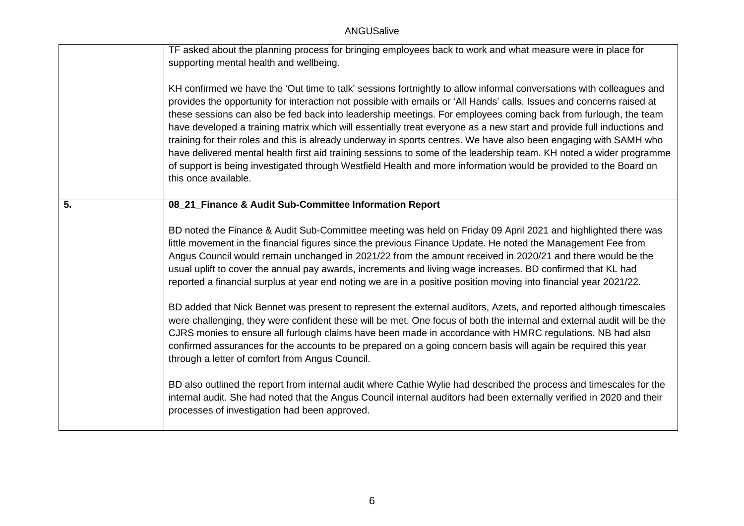|    | TF asked about the planning process for bringing employees back to work and what measure were in place for<br>supporting mental health and wellbeing.<br>KH confirmed we have the 'Out time to talk' sessions fortnightly to allow informal conversations with colleagues and<br>provides the opportunity for interaction not possible with emails or 'All Hands' calls. Issues and concerns raised at<br>these sessions can also be fed back into leadership meetings. For employees coming back from furlough, the team<br>have developed a training matrix which will essentially treat everyone as a new start and provide full inductions and<br>training for their roles and this is already underway in sports centres. We have also been engaging with SAMH who<br>have delivered mental health first aid training sessions to some of the leadership team. KH noted a wider programme<br>of support is being investigated through Westfield Health and more information would be provided to the Board on<br>this once available. |
|----|--------------------------------------------------------------------------------------------------------------------------------------------------------------------------------------------------------------------------------------------------------------------------------------------------------------------------------------------------------------------------------------------------------------------------------------------------------------------------------------------------------------------------------------------------------------------------------------------------------------------------------------------------------------------------------------------------------------------------------------------------------------------------------------------------------------------------------------------------------------------------------------------------------------------------------------------------------------------------------------------------------------------------------------------|
| 5. | 08_21_Finance & Audit Sub-Committee Information Report                                                                                                                                                                                                                                                                                                                                                                                                                                                                                                                                                                                                                                                                                                                                                                                                                                                                                                                                                                                     |
|    | BD noted the Finance & Audit Sub-Committee meeting was held on Friday 09 April 2021 and highlighted there was<br>little movement in the financial figures since the previous Finance Update. He noted the Management Fee from<br>Angus Council would remain unchanged in 2021/22 from the amount received in 2020/21 and there would be the<br>usual uplift to cover the annual pay awards, increments and living wage increases. BD confirmed that KL had<br>reported a financial surplus at year end noting we are in a positive position moving into financial year 2021/22.                                                                                                                                                                                                                                                                                                                                                                                                                                                            |
|    | BD added that Nick Bennet was present to represent the external auditors, Azets, and reported although timescales<br>were challenging, they were confident these will be met. One focus of both the internal and external audit will be the<br>CJRS monies to ensure all furlough claims have been made in accordance with HMRC regulations. NB had also<br>confirmed assurances for the accounts to be prepared on a going concern basis will again be required this year<br>through a letter of comfort from Angus Council.                                                                                                                                                                                                                                                                                                                                                                                                                                                                                                              |
|    | BD also outlined the report from internal audit where Cathie Wylie had described the process and timescales for the<br>internal audit. She had noted that the Angus Council internal auditors had been externally verified in 2020 and their<br>processes of investigation had been approved.                                                                                                                                                                                                                                                                                                                                                                                                                                                                                                                                                                                                                                                                                                                                              |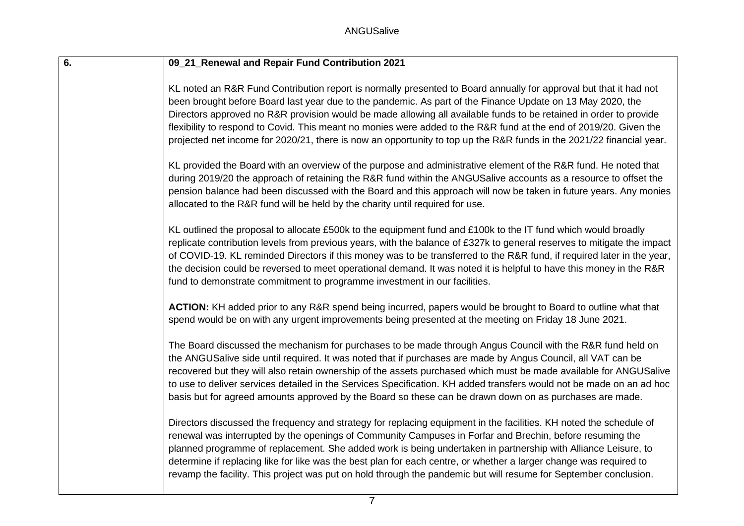| $\overline{6}$ . | 09_21_Renewal and Repair Fund Contribution 2021                                                                                                                                                                                                                                                                                                                                                                                                                                                                                                                                                   |
|------------------|---------------------------------------------------------------------------------------------------------------------------------------------------------------------------------------------------------------------------------------------------------------------------------------------------------------------------------------------------------------------------------------------------------------------------------------------------------------------------------------------------------------------------------------------------------------------------------------------------|
|                  | KL noted an R&R Fund Contribution report is normally presented to Board annually for approval but that it had not<br>been brought before Board last year due to the pandemic. As part of the Finance Update on 13 May 2020, the<br>Directors approved no R&R provision would be made allowing all available funds to be retained in order to provide<br>flexibility to respond to Covid. This meant no monies were added to the R&R fund at the end of 2019/20. Given the<br>projected net income for 2020/21, there is now an opportunity to top up the R&R funds in the 2021/22 financial year. |
|                  | KL provided the Board with an overview of the purpose and administrative element of the R&R fund. He noted that<br>during 2019/20 the approach of retaining the R&R fund within the ANGUSalive accounts as a resource to offset the<br>pension balance had been discussed with the Board and this approach will now be taken in future years. Any monies<br>allocated to the R&R fund will be held by the charity until required for use.                                                                                                                                                         |
|                  | KL outlined the proposal to allocate £500k to the equipment fund and £100k to the IT fund which would broadly<br>replicate contribution levels from previous years, with the balance of £327k to general reserves to mitigate the impact<br>of COVID-19. KL reminded Directors if this money was to be transferred to the R&R fund, if required later in the year,<br>the decision could be reversed to meet operational demand. It was noted it is helpful to have this money in the R&R<br>fund to demonstrate commitment to programme investment in our facilities.                            |
|                  | ACTION: KH added prior to any R&R spend being incurred, papers would be brought to Board to outline what that<br>spend would be on with any urgent improvements being presented at the meeting on Friday 18 June 2021.                                                                                                                                                                                                                                                                                                                                                                            |
|                  | The Board discussed the mechanism for purchases to be made through Angus Council with the R&R fund held on<br>the ANGUSalive side until required. It was noted that if purchases are made by Angus Council, all VAT can be<br>recovered but they will also retain ownership of the assets purchased which must be made available for ANGUSalive<br>to use to deliver services detailed in the Services Specification. KH added transfers would not be made on an ad hoc<br>basis but for agreed amounts approved by the Board so these can be drawn down on as purchases are made.                |
|                  | Directors discussed the frequency and strategy for replacing equipment in the facilities. KH noted the schedule of<br>renewal was interrupted by the openings of Community Campuses in Forfar and Brechin, before resuming the<br>planned programme of replacement. She added work is being undertaken in partnership with Alliance Leisure, to<br>determine if replacing like for like was the best plan for each centre, or whether a larger change was required to<br>revamp the facility. This project was put on hold through the pandemic but will resume for September conclusion.         |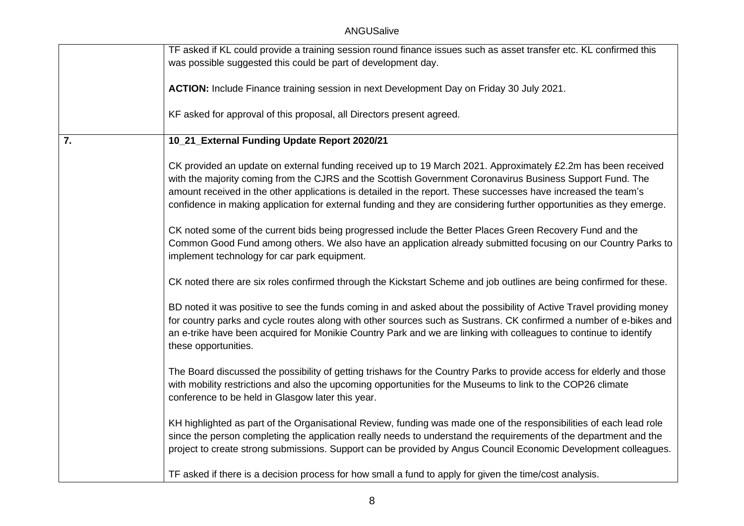|    | TF asked if KL could provide a training session round finance issues such as asset transfer etc. KL confirmed this                                                                                                                                                                                                                                                                                                                                                   |
|----|----------------------------------------------------------------------------------------------------------------------------------------------------------------------------------------------------------------------------------------------------------------------------------------------------------------------------------------------------------------------------------------------------------------------------------------------------------------------|
|    | was possible suggested this could be part of development day.                                                                                                                                                                                                                                                                                                                                                                                                        |
|    | ACTION: Include Finance training session in next Development Day on Friday 30 July 2021.                                                                                                                                                                                                                                                                                                                                                                             |
|    | KF asked for approval of this proposal, all Directors present agreed.                                                                                                                                                                                                                                                                                                                                                                                                |
| 7. | 10_21_External Funding Update Report 2020/21                                                                                                                                                                                                                                                                                                                                                                                                                         |
|    | CK provided an update on external funding received up to 19 March 2021. Approximately £2.2m has been received<br>with the majority coming from the CJRS and the Scottish Government Coronavirus Business Support Fund. The<br>amount received in the other applications is detailed in the report. These successes have increased the team's<br>confidence in making application for external funding and they are considering further opportunities as they emerge. |
|    | CK noted some of the current bids being progressed include the Better Places Green Recovery Fund and the<br>Common Good Fund among others. We also have an application already submitted focusing on our Country Parks to<br>implement technology for car park equipment.                                                                                                                                                                                            |
|    | CK noted there are six roles confirmed through the Kickstart Scheme and job outlines are being confirmed for these.                                                                                                                                                                                                                                                                                                                                                  |
|    | BD noted it was positive to see the funds coming in and asked about the possibility of Active Travel providing money<br>for country parks and cycle routes along with other sources such as Sustrans. CK confirmed a number of e-bikes and<br>an e-trike have been acquired for Monikie Country Park and we are linking with colleagues to continue to identify<br>these opportunities.                                                                              |
|    | The Board discussed the possibility of getting trishaws for the Country Parks to provide access for elderly and those<br>with mobility restrictions and also the upcoming opportunities for the Museums to link to the COP26 climate<br>conference to be held in Glasgow later this year.                                                                                                                                                                            |
|    | KH highlighted as part of the Organisational Review, funding was made one of the responsibilities of each lead role<br>since the person completing the application really needs to understand the requirements of the department and the<br>project to create strong submissions. Support can be provided by Angus Council Economic Development colleagues.                                                                                                          |
|    | TF asked if there is a decision process for how small a fund to apply for given the time/cost analysis.                                                                                                                                                                                                                                                                                                                                                              |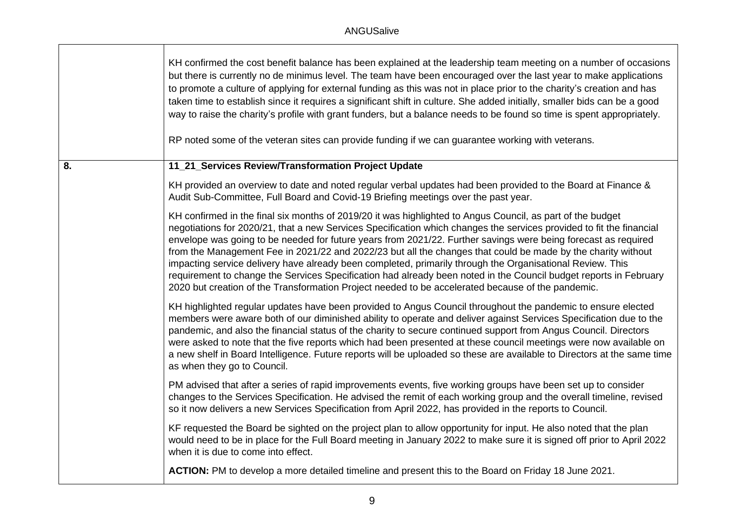|    | KH confirmed the cost benefit balance has been explained at the leadership team meeting on a number of occasions<br>but there is currently no de minimus level. The team have been encouraged over the last year to make applications<br>to promote a culture of applying for external funding as this was not in place prior to the charity's creation and has<br>taken time to establish since it requires a significant shift in culture. She added initially, smaller bids can be a good<br>way to raise the charity's profile with grant funders, but a balance needs to be found so time is spent appropriately.<br>RP noted some of the veteran sites can provide funding if we can guarantee working with veterans.                                                                                 |
|----|-------------------------------------------------------------------------------------------------------------------------------------------------------------------------------------------------------------------------------------------------------------------------------------------------------------------------------------------------------------------------------------------------------------------------------------------------------------------------------------------------------------------------------------------------------------------------------------------------------------------------------------------------------------------------------------------------------------------------------------------------------------------------------------------------------------|
| 8. | 11_21_Services Review/Transformation Project Update                                                                                                                                                                                                                                                                                                                                                                                                                                                                                                                                                                                                                                                                                                                                                         |
|    | KH provided an overview to date and noted regular verbal updates had been provided to the Board at Finance &<br>Audit Sub-Committee, Full Board and Covid-19 Briefing meetings over the past year.                                                                                                                                                                                                                                                                                                                                                                                                                                                                                                                                                                                                          |
|    | KH confirmed in the final six months of 2019/20 it was highlighted to Angus Council, as part of the budget<br>negotiations for 2020/21, that a new Services Specification which changes the services provided to fit the financial<br>envelope was going to be needed for future years from 2021/22. Further savings were being forecast as required<br>from the Management Fee in 2021/22 and 2022/23 but all the changes that could be made by the charity without<br>impacting service delivery have already been completed, primarily through the Organisational Review. This<br>requirement to change the Services Specification had already been noted in the Council budget reports in February<br>2020 but creation of the Transformation Project needed to be accelerated because of the pandemic. |
|    | KH highlighted regular updates have been provided to Angus Council throughout the pandemic to ensure elected<br>members were aware both of our diminished ability to operate and deliver against Services Specification due to the<br>pandemic, and also the financial status of the charity to secure continued support from Angus Council. Directors<br>were asked to note that the five reports which had been presented at these council meetings were now available on<br>a new shelf in Board Intelligence. Future reports will be uploaded so these are available to Directors at the same time<br>as when they go to Council.                                                                                                                                                                       |
|    | PM advised that after a series of rapid improvements events, five working groups have been set up to consider<br>changes to the Services Specification. He advised the remit of each working group and the overall timeline, revised<br>so it now delivers a new Services Specification from April 2022, has provided in the reports to Council.                                                                                                                                                                                                                                                                                                                                                                                                                                                            |
|    | KF requested the Board be sighted on the project plan to allow opportunity for input. He also noted that the plan<br>would need to be in place for the Full Board meeting in January 2022 to make sure it is signed off prior to April 2022<br>when it is due to come into effect.                                                                                                                                                                                                                                                                                                                                                                                                                                                                                                                          |
|    | ACTION: PM to develop a more detailed timeline and present this to the Board on Friday 18 June 2021.                                                                                                                                                                                                                                                                                                                                                                                                                                                                                                                                                                                                                                                                                                        |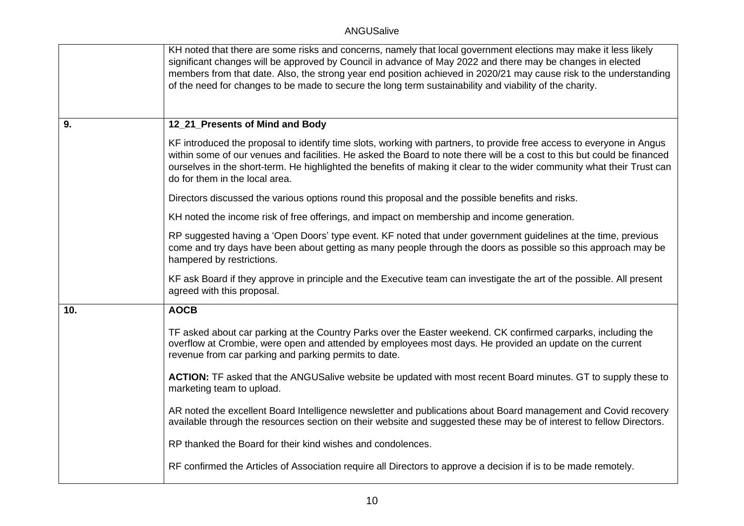|     | KH noted that there are some risks and concerns, namely that local government elections may make it less likely<br>significant changes will be approved by Council in advance of May 2022 and there may be changes in elected<br>members from that date. Also, the strong year end position achieved in 2020/21 may cause risk to the understanding<br>of the need for changes to be made to secure the long term sustainability and viability of the charity. |
|-----|----------------------------------------------------------------------------------------------------------------------------------------------------------------------------------------------------------------------------------------------------------------------------------------------------------------------------------------------------------------------------------------------------------------------------------------------------------------|
| 9.  | 12_21_Presents of Mind and Body                                                                                                                                                                                                                                                                                                                                                                                                                                |
|     | KF introduced the proposal to identify time slots, working with partners, to provide free access to everyone in Angus<br>within some of our venues and facilities. He asked the Board to note there will be a cost to this but could be financed<br>ourselves in the short-term. He highlighted the benefits of making it clear to the wider community what their Trust can<br>do for them in the local area.                                                  |
|     | Directors discussed the various options round this proposal and the possible benefits and risks.                                                                                                                                                                                                                                                                                                                                                               |
|     | KH noted the income risk of free offerings, and impact on membership and income generation.                                                                                                                                                                                                                                                                                                                                                                    |
|     | RP suggested having a 'Open Doors' type event. KF noted that under government guidelines at the time, previous<br>come and try days have been about getting as many people through the doors as possible so this approach may be<br>hampered by restrictions.                                                                                                                                                                                                  |
|     | KF ask Board if they approve in principle and the Executive team can investigate the art of the possible. All present<br>agreed with this proposal.                                                                                                                                                                                                                                                                                                            |
| 10. | <b>AOCB</b>                                                                                                                                                                                                                                                                                                                                                                                                                                                    |
|     | TF asked about car parking at the Country Parks over the Easter weekend. CK confirmed carparks, including the<br>overflow at Crombie, were open and attended by employees most days. He provided an update on the current<br>revenue from car parking and parking permits to date.                                                                                                                                                                             |
|     | ACTION: TF asked that the ANGUSalive website be updated with most recent Board minutes. GT to supply these to<br>marketing team to upload.                                                                                                                                                                                                                                                                                                                     |
|     | AR noted the excellent Board Intelligence newsletter and publications about Board management and Covid recovery<br>available through the resources section on their website and suggested these may be of interest to fellow Directors.                                                                                                                                                                                                                        |
|     | RP thanked the Board for their kind wishes and condolences.                                                                                                                                                                                                                                                                                                                                                                                                    |
|     | RF confirmed the Articles of Association require all Directors to approve a decision if is to be made remotely.                                                                                                                                                                                                                                                                                                                                                |